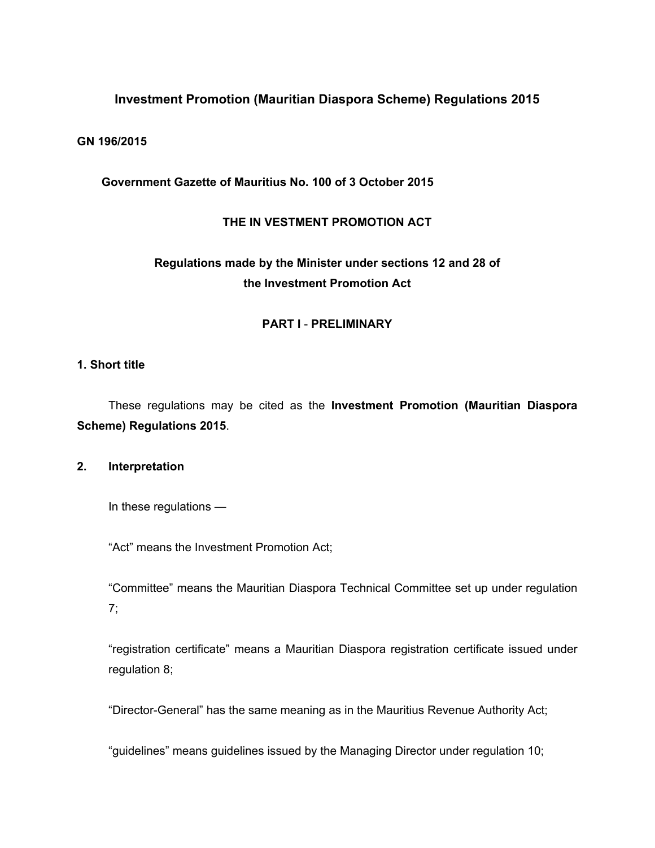# **Investment Promotion (Mauritian Diaspora Scheme) Regulations 2015**

#### **GN 196/2015**

#### **Government Gazette of Mauritius No. 100 of 3 October 2015**

#### **THE IN VESTMENT PROMOTION ACT**

# **Regulations made by the Minister under sections 12 and 28 of the Investment Promotion Act**

#### **PART I** - **PRELIMINARY**

#### **1. Short title**

These regulations may be cited as the **Investment Promotion (Mauritian Diaspora Scheme) Regulations 2015**.

#### **2. Interpretation**

In these regulations —

"Act" means the Investment Promotion Act;

"Committee" means the Mauritian Diaspora Technical Committee set up under regulation 7;

"registration certificate" means a Mauritian Diaspora registration certificate issued under regulation 8;

"Director-General" has the same meaning as in the Mauritius Revenue Authority Act;

"guidelines" means guidelines issued by the Managing Director under regulation 10;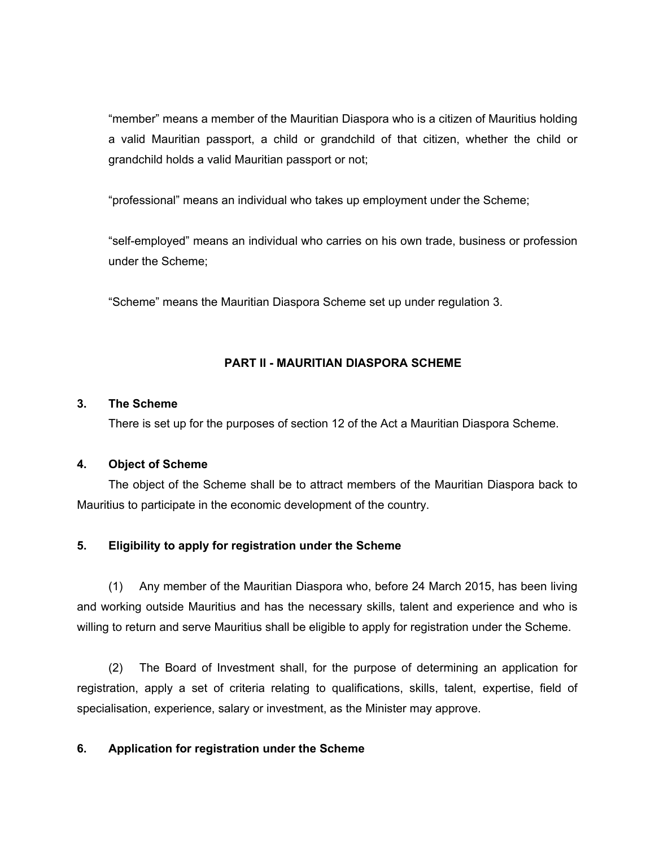"member" means a member of the Mauritian Diaspora who is a citizen of Mauritius holding a valid Mauritian passport, a child or grandchild of that citizen, whether the child or grandchild holds a valid Mauritian passport or not;

"professional" means an individual who takes up employment under the Scheme;

"self-employed" means an individual who carries on his own trade, business or profession under the Scheme;

"Scheme" means the Mauritian Diaspora Scheme set up under regulation 3.

# **PART II - MAURITIAN DIASPORA SCHEME**

## **3. The Scheme**

There is set up for the purposes of section 12 of the Act a Mauritian Diaspora Scheme.

## **4. Object of Scheme**

The object of the Scheme shall be to attract members of the Mauritian Diaspora back to Mauritius to participate in the economic development of the country.

## **5. Eligibility to apply for registration under the Scheme**

(1) Any member of the Mauritian Diaspora who, before 24 March 2015, has been living and working outside Mauritius and has the necessary skills, talent and experience and who is willing to return and serve Mauritius shall be eligible to apply for registration under the Scheme.

(2) The Board of Investment shall, for the purpose of determining an application for registration, apply a set of criteria relating to qualifications, skills, talent, expertise, field of specialisation, experience, salary or investment, as the Minister may approve.

## **6. Application for registration under the Scheme**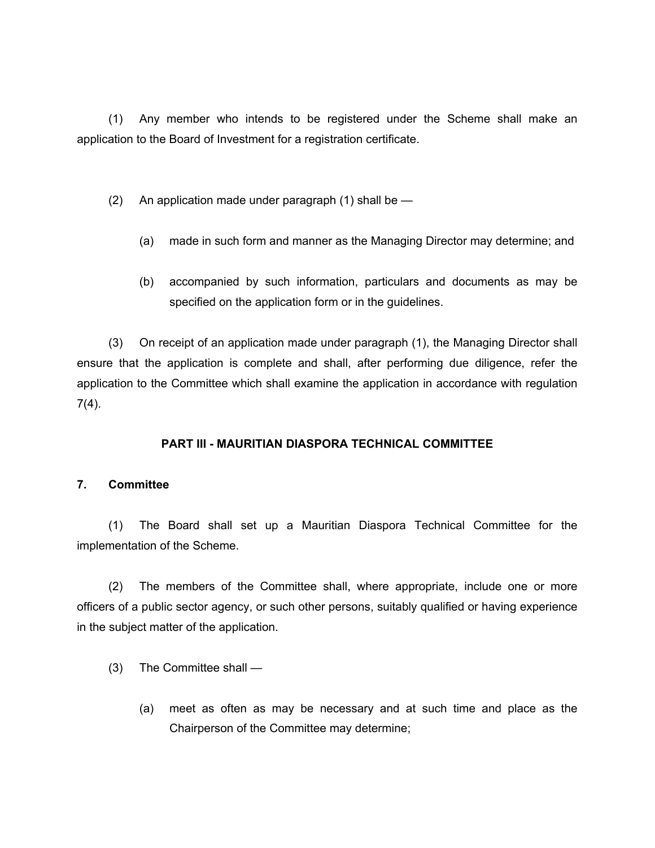(1) Any member who intends to be registered under the Scheme shall make an application to the Board of Investment for a registration certificate.

(2) An application made under paragraph (1) shall be —

- (a) made in such form and manner as the Managing Director may determine; and
- (b) accompanied by such information, particulars and documents as may be specified on the application form or in the guidelines.

(3) On receipt of an application made under paragraph (1), the Managing Director shall ensure that the application is complete and shall, after performing due diligence, refer the application to the Committee which shall examine the application in accordance with regulation 7(4).

# **PART III - MAURITIAN DIASPORA TECHNICAL COMMITTEE**

## **7. Committee**

(1) The Board shall set up a Mauritian Diaspora Technical Committee for the implementation of the Scheme.

(2) The members of the Committee shall, where appropriate, include one or more officers of a public sector agency, or such other persons, suitably qualified or having experience in the subject matter of the application.

- (3) The Committee shall
	- (a) meet as often as may be necessary and at such time and place as the Chairperson of the Committee may determine;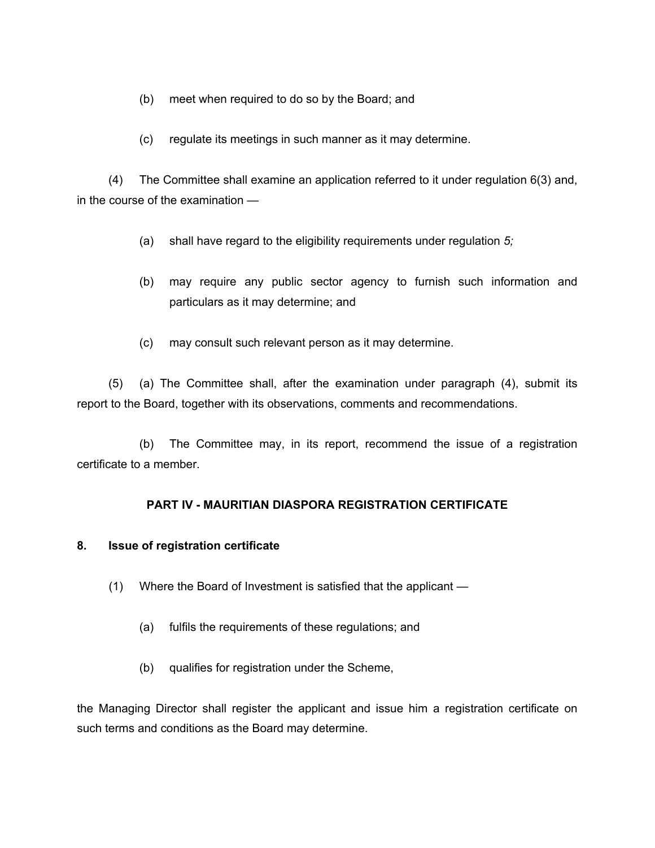- (b) meet when required to do so by the Board; and
- (c) regulate its meetings in such manner as it may determine.

(4) The Committee shall examine an application referred to it under regulation 6(3) and, in the course of the examination —

- (a) shall have regard to the eligibility requirements under regulation *5;*
- (b) may require any public sector agency to furnish such information and particulars as it may determine; and
- (c) may consult such relevant person as it may determine.

(5) (a) The Committee shall, after the examination under paragraph (4), submit its report to the Board, together with its observations, comments and recommendations.

(b) The Committee may, in its report, recommend the issue of a registration certificate to a member.

## **PART IV - MAURITIAN DIASPORA REGISTRATION CERTIFICATE**

## **8. Issue of registration certificate**

- (1) Where the Board of Investment is satisfied that the applicant
	- (a) fulfils the requirements of these regulations; and
	- (b) qualifies for registration under the Scheme,

the Managing Director shall register the applicant and issue him a registration certificate on such terms and conditions as the Board may determine.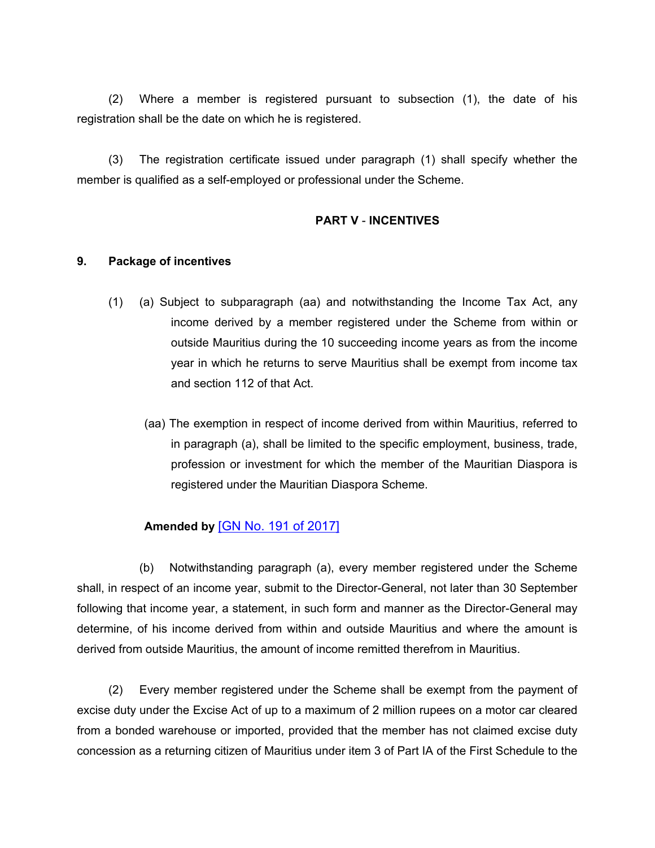(2) Where a member is registered pursuant to subsection (1), the date of his registration shall be the date on which he is registered.

(3) The registration certificate issued under paragraph (1) shall specify whether the member is qualified as a self-employed or professional under the Scheme.

## **PART V** - **INCENTIVES**

#### **9. Package of incentives**

- (1) (a) Subject to subparagraph (aa) and notwithstanding the Income Tax Act, any income derived by a member registered under the Scheme from within or outside Mauritius during the 10 succeeding income years as from the income year in which he returns to serve Mauritius shall be exempt from income tax and section 112 of that Act.
	- (aa) The exemption in respect of income derived from within Mauritius, referred to in paragraph (a), shall be limited to the specific employment, business, trade, profession or investment for which the member of the Mauritian Diaspora is registered under the Mauritian Diaspora Scheme.

# **Amended by** [GN No. 191 of [2017\]](https://supremecourt.govmu.org/_layouts/CLIS.DMS/search/searchdocumentbykey.aspx?ID=%5BGN%20No.%20191%20of%202017%5D&list=Legislations)

(b) Notwithstanding paragraph (a), every member registered under the Scheme shall, in respect of an income year, submit to the Director-General, not later than 30 September following that income year, a statement, in such form and manner as the Director-General may determine, of his income derived from within and outside Mauritius and where the amount is derived from outside Mauritius, the amount of income remitted therefrom in Mauritius.

(2) Every member registered under the Scheme shall be exempt from the payment of excise duty under the Excise Act of up to a maximum of 2 million rupees on a motor car cleared from a bonded warehouse or imported, provided that the member has not claimed excise duty concession as a returning citizen of Mauritius under item 3 of Part IA of the First Schedule to the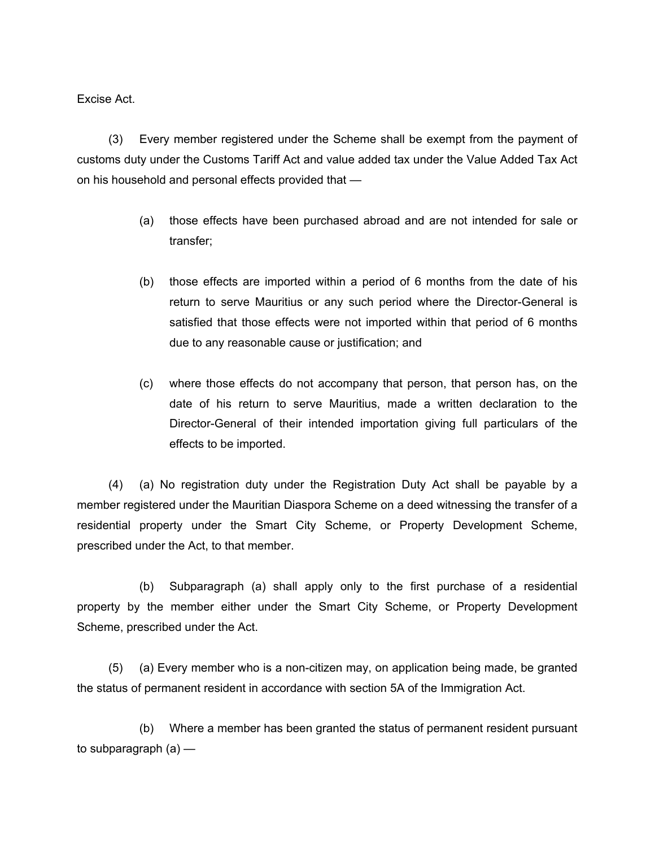Excise Act.

(3) Every member registered under the Scheme shall be exempt from the payment of customs duty under the Customs Tariff Act and value added tax under the Value Added Tax Act on his household and personal effects provided that —

- (a) those effects have been purchased abroad and are not intended for sale or transfer;
- (b) those effects are imported within a period of 6 months from the date of his return to serve Mauritius or any such period where the Director-General is satisfied that those effects were not imported within that period of 6 months due to any reasonable cause or justification; and
- (c) where those effects do not accompany that person, that person has, on the date of his return to serve Mauritius, made a written declaration to the Director-General of their intended importation giving full particulars of the effects to be imported.

(4) (a) No registration duty under the Registration Duty Act shall be payable by a member registered under the Mauritian Diaspora Scheme on a deed witnessing the transfer of a residential property under the Smart City Scheme, or Property Development Scheme, prescribed under the Act, to that member.

(b) Subparagraph (a) shall apply only to the first purchase of a residential property by the member either under the Smart City Scheme, or Property Development Scheme, prescribed under the Act.

(5) (a) Every member who is a non-citizen may, on application being made, be granted the status of permanent resident in accordance with section 5A of the Immigration Act.

(b) Where a member has been granted the status of permanent resident pursuant to subparagraph  $(a)$  —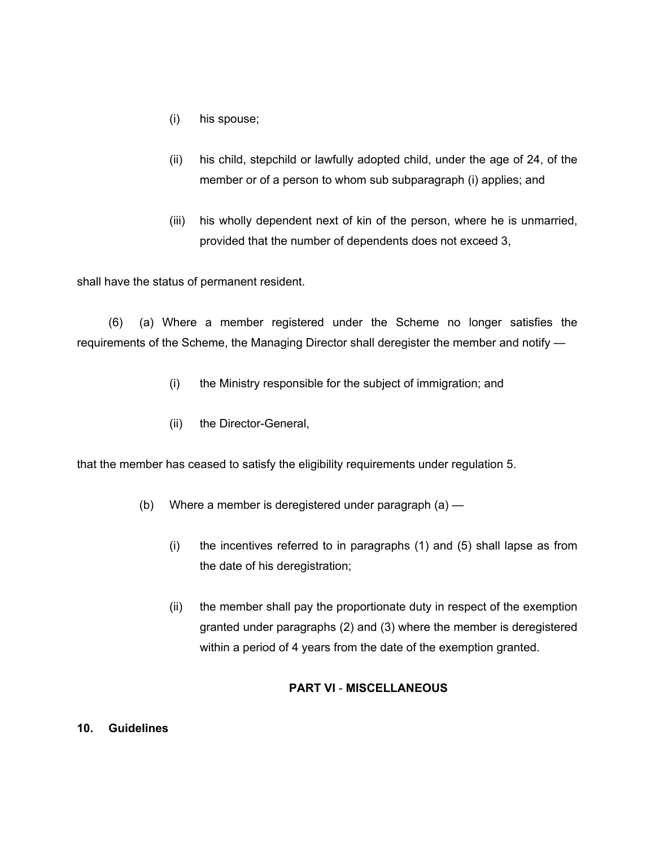- (i) his spouse;
- (ii) his child, stepchild or lawfully adopted child, under the age of 24, of the member or of a person to whom sub subparagraph (i) applies; and
- (iii) his wholly dependent next of kin of the person, where he is unmarried, provided that the number of dependents does not exceed 3,

shall have the status of permanent resident.

(6) (a) Where a member registered under the Scheme no longer satisfies the requirements of the Scheme, the Managing Director shall deregister the member and notify —

- (i) the Ministry responsible for the subject of immigration; and
- (ii) the Director-General,

that the member has ceased to satisfy the eligibility requirements under regulation 5.

- (b) Where a member is deregistered under paragraph (a)
	- (i) the incentives referred to in paragraphs (1) and (5) shall lapse as from the date of his deregistration;
	- (ii) the member shall pay the proportionate duty in respect of the exemption granted under paragraphs (2) and (3) where the member is deregistered within a period of 4 years from the date of the exemption granted.

## **PART VI** - **MISCELLANEOUS**

#### **10. Guidelines**